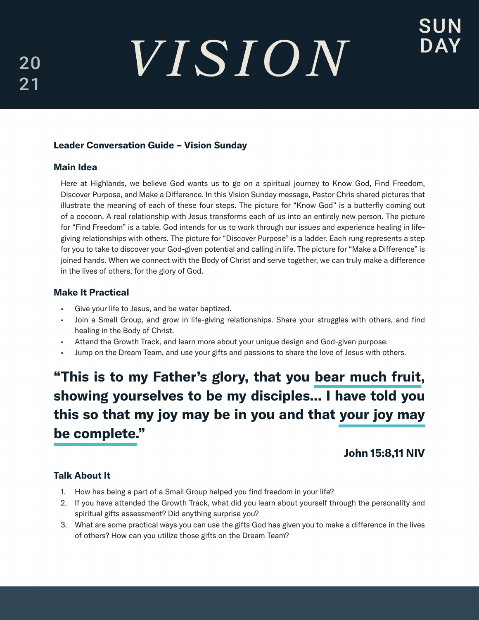# VISION

# Leader Conversation Guide – Vision Sunday

## Main Idea

Here at Highlands, we believe God wants us to go on a spiritual journey to Know God, Find Freedom, Discover Purpose, and Make a Difference. In this Vision Sunday message, Pastor Chris shared pictures that illustrate the meaning of each of these four steps. The picture for "Know God" is a butterfly coming out of a cocoon. A real relationship with Jesus transforms each of us into an entirely new person. The picture for "Find Freedom" is a table. God intends for us to work through our issues and experience healing in lifegiving relationships with others. The picture for "Discover Purpose" is a ladder. Each rung represents a step for you to take to discover your God-given potential and calling in life. The picture for "Make a Difference" is joined hands. When we connect with the Body of Christ and serve together, we can truly make a difference in the lives of others, for the glory of God.

# Make It Practical

- Give your life to Jesus, and be water baptized.
- Join a Small Group, and grow in life-giving relationships. Share your struggles with others, and find healing in the Body of Christ.
- Attend the Growth Track, and learn more about your unique design and God-given purpose.
- Jump on the Dream Team, and use your gifts and passions to share the love of Jesus with others.

# "This is to my Father's glory, that you bear much fruit, showing yourselves to be my disciples... I have told you this so that my joy may be in you and that your joy may be complete."

# John 15:8,11 NIV

# Talk About It

- 1. How has being a part of a Small Group helped you find freedom in your life?
- 2. If you have attended the Growth Track, what did you learn about yourself through the personality and spiritual gifts assessment? Did anything surprise you?
- 3. What are some practical ways you can use the gifts God has given you to make a difference in the lives of others? How can you utilize those gifts on the Dream Team?